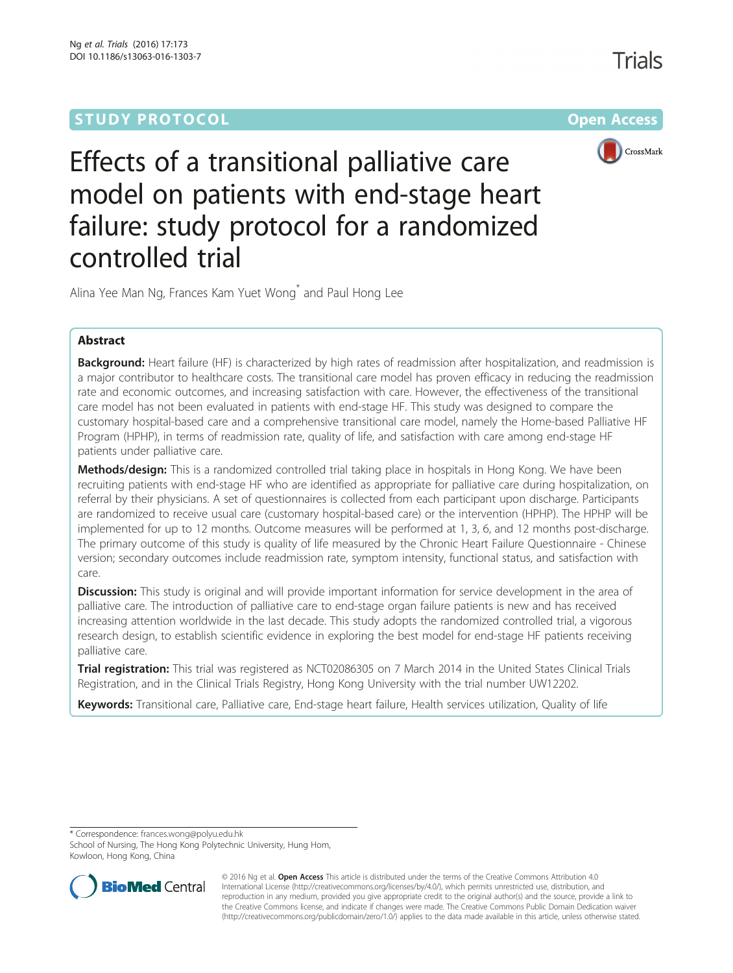# **STUDY PROTOCOL CONSUMING THE RESERVE ACCESS**



Effects of a transitional palliative care model on patients with end-stage heart failure: study protocol for a randomized controlled trial

Alina Yee Man Ng, Frances Kam Yuet Wong\* and Paul Hong Lee

## Abstract

Background: Heart failure (HF) is characterized by high rates of readmission after hospitalization, and readmission is a major contributor to healthcare costs. The transitional care model has proven efficacy in reducing the readmission rate and economic outcomes, and increasing satisfaction with care. However, the effectiveness of the transitional care model has not been evaluated in patients with end-stage HF. This study was designed to compare the customary hospital-based care and a comprehensive transitional care model, namely the Home-based Palliative HF Program (HPHP), in terms of readmission rate, quality of life, and satisfaction with care among end-stage HF patients under palliative care.

Methods/design: This is a randomized controlled trial taking place in hospitals in Hong Kong. We have been recruiting patients with end-stage HF who are identified as appropriate for palliative care during hospitalization, on referral by their physicians. A set of questionnaires is collected from each participant upon discharge. Participants are randomized to receive usual care (customary hospital-based care) or the intervention (HPHP). The HPHP will be implemented for up to 12 months. Outcome measures will be performed at 1, 3, 6, and 12 months post-discharge. The primary outcome of this study is quality of life measured by the Chronic Heart Failure Questionnaire - Chinese version; secondary outcomes include readmission rate, symptom intensity, functional status, and satisfaction with care.

Discussion: This study is original and will provide important information for service development in the area of palliative care. The introduction of palliative care to end-stage organ failure patients is new and has received increasing attention worldwide in the last decade. This study adopts the randomized controlled trial, a vigorous research design, to establish scientific evidence in exploring the best model for end-stage HF patients receiving palliative care.

Trial registration: This trial was registered as [NCT02086305](https://clinicaltrials.gov/ct2/show/NCT02086305) on 7 March 2014 in the United States Clinical Trials Registration, and in the Clinical Trials Registry, Hong Kong University with the trial number UW12202.

Keywords: Transitional care, Palliative care, End-stage heart failure, Health services utilization, Quality of life

\* Correspondence: [frances.wong@polyu.edu.hk](mailto:frances.wong@polyu.edu.hk)

School of Nursing, The Hong Kong Polytechnic University, Hung Hom, Kowloon, Hong Kong, China



© 2016 Ng et al. Open Access This article is distributed under the terms of the Creative Commons Attribution 4.0 International License [\(http://creativecommons.org/licenses/by/4.0/](http://creativecommons.org/licenses/by/4.0/)), which permits unrestricted use, distribution, and reproduction in any medium, provided you give appropriate credit to the original author(s) and the source, provide a link to the Creative Commons license, and indicate if changes were made. The Creative Commons Public Domain Dedication waiver [\(http://creativecommons.org/publicdomain/zero/1.0/](http://creativecommons.org/publicdomain/zero/1.0/)) applies to the data made available in this article, unless otherwise stated.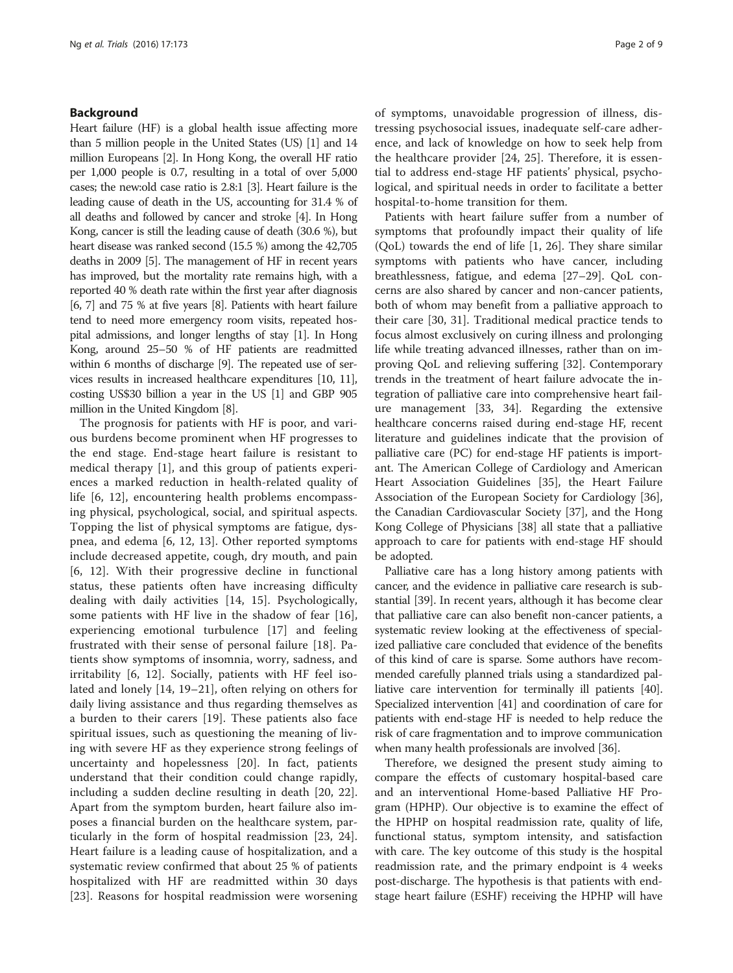### Background

Heart failure (HF) is a global health issue affecting more than 5 million people in the United States (US) [\[1\]](#page-7-0) and 14 million Europeans [\[2\]](#page-7-0). In Hong Kong, the overall HF ratio per 1,000 people is 0.7, resulting in a total of over 5,000 cases; the new:old case ratio is 2.8:1 [[3](#page-7-0)]. Heart failure is the leading cause of death in the US, accounting for 31.4 % of all deaths and followed by cancer and stroke [\[4\]](#page-7-0). In Hong Kong, cancer is still the leading cause of death (30.6 %), but heart disease was ranked second (15.5 %) among the 42,705 deaths in 2009 [[5](#page-7-0)]. The management of HF in recent years has improved, but the mortality rate remains high, with a reported 40 % death rate within the first year after diagnosis [[6](#page-7-0), [7](#page-7-0)] and 75 % at five years [[8](#page-7-0)]. Patients with heart failure tend to need more emergency room visits, repeated hospital admissions, and longer lengths of stay [[1](#page-7-0)]. In Hong Kong, around 25–50 % of HF patients are readmitted within 6 months of discharge [\[9\]](#page-7-0). The repeated use of services results in increased healthcare expenditures [[10](#page-7-0), [11](#page-7-0)], costing US\$30 billion a year in the US [\[1](#page-7-0)] and GBP 905 million in the United Kingdom [[8](#page-7-0)].

The prognosis for patients with HF is poor, and various burdens become prominent when HF progresses to the end stage. End-stage heart failure is resistant to medical therapy [\[1](#page-7-0)], and this group of patients experiences a marked reduction in health-related quality of life [[6](#page-7-0), [12\]](#page-7-0), encountering health problems encompassing physical, psychological, social, and spiritual aspects. Topping the list of physical symptoms are fatigue, dyspnea, and edema [[6](#page-7-0), [12, 13\]](#page-7-0). Other reported symptoms include decreased appetite, cough, dry mouth, and pain [[6, 12\]](#page-7-0). With their progressive decline in functional status, these patients often have increasing difficulty dealing with daily activities [\[14](#page-7-0), [15](#page-7-0)]. Psychologically, some patients with HF live in the shadow of fear [\[16](#page-7-0)], experiencing emotional turbulence [\[17](#page-7-0)] and feeling frustrated with their sense of personal failure [\[18](#page-7-0)]. Patients show symptoms of insomnia, worry, sadness, and irritability [\[6](#page-7-0), [12](#page-7-0)]. Socially, patients with HF feel isolated and lonely [[14, 19](#page-7-0)–[21](#page-7-0)], often relying on others for daily living assistance and thus regarding themselves as a burden to their carers [[19](#page-7-0)]. These patients also face spiritual issues, such as questioning the meaning of living with severe HF as they experience strong feelings of uncertainty and hopelessness [[20\]](#page-7-0). In fact, patients understand that their condition could change rapidly, including a sudden decline resulting in death [[20, 22](#page-7-0)]. Apart from the symptom burden, heart failure also imposes a financial burden on the healthcare system, particularly in the form of hospital readmission [\[23](#page-7-0), [24](#page-7-0)]. Heart failure is a leading cause of hospitalization, and a systematic review confirmed that about 25 % of patients hospitalized with HF are readmitted within 30 days [[23\]](#page-7-0). Reasons for hospital readmission were worsening of symptoms, unavoidable progression of illness, distressing psychosocial issues, inadequate self-care adherence, and lack of knowledge on how to seek help from the healthcare provider [\[24](#page-7-0), [25](#page-7-0)]. Therefore, it is essential to address end-stage HF patients' physical, psychological, and spiritual needs in order to facilitate a better hospital-to-home transition for them.

Patients with heart failure suffer from a number of symptoms that profoundly impact their quality of life (QoL) towards the end of life [\[1](#page-7-0), [26](#page-7-0)]. They share similar symptoms with patients who have cancer, including breathlessness, fatigue, and edema [\[27](#page-7-0)–[29\]](#page-7-0). QoL concerns are also shared by cancer and non-cancer patients, both of whom may benefit from a palliative approach to their care [[30, 31](#page-7-0)]. Traditional medical practice tends to focus almost exclusively on curing illness and prolonging life while treating advanced illnesses, rather than on improving QoL and relieving suffering [[32](#page-7-0)]. Contemporary trends in the treatment of heart failure advocate the integration of palliative care into comprehensive heart failure management [\[33](#page-7-0), [34\]](#page-7-0). Regarding the extensive healthcare concerns raised during end-stage HF, recent literature and guidelines indicate that the provision of palliative care (PC) for end-stage HF patients is important. The American College of Cardiology and American Heart Association Guidelines [[35\]](#page-7-0), the Heart Failure Association of the European Society for Cardiology [\[36](#page-7-0)], the Canadian Cardiovascular Society [[37](#page-7-0)], and the Hong Kong College of Physicians [[38](#page-7-0)] all state that a palliative approach to care for patients with end-stage HF should be adopted.

Palliative care has a long history among patients with cancer, and the evidence in palliative care research is substantial [[39](#page-7-0)]. In recent years, although it has become clear that palliative care can also benefit non-cancer patients, a systematic review looking at the effectiveness of specialized palliative care concluded that evidence of the benefits of this kind of care is sparse. Some authors have recommended carefully planned trials using a standardized palliative care intervention for terminally ill patients [[40](#page-8-0)]. Specialized intervention [[41](#page-8-0)] and coordination of care for patients with end-stage HF is needed to help reduce the risk of care fragmentation and to improve communication when many health professionals are involved [\[36\]](#page-7-0).

Therefore, we designed the present study aiming to compare the effects of customary hospital-based care and an interventional Home-based Palliative HF Program (HPHP). Our objective is to examine the effect of the HPHP on hospital readmission rate, quality of life, functional status, symptom intensity, and satisfaction with care. The key outcome of this study is the hospital readmission rate, and the primary endpoint is 4 weeks post-discharge. The hypothesis is that patients with endstage heart failure (ESHF) receiving the HPHP will have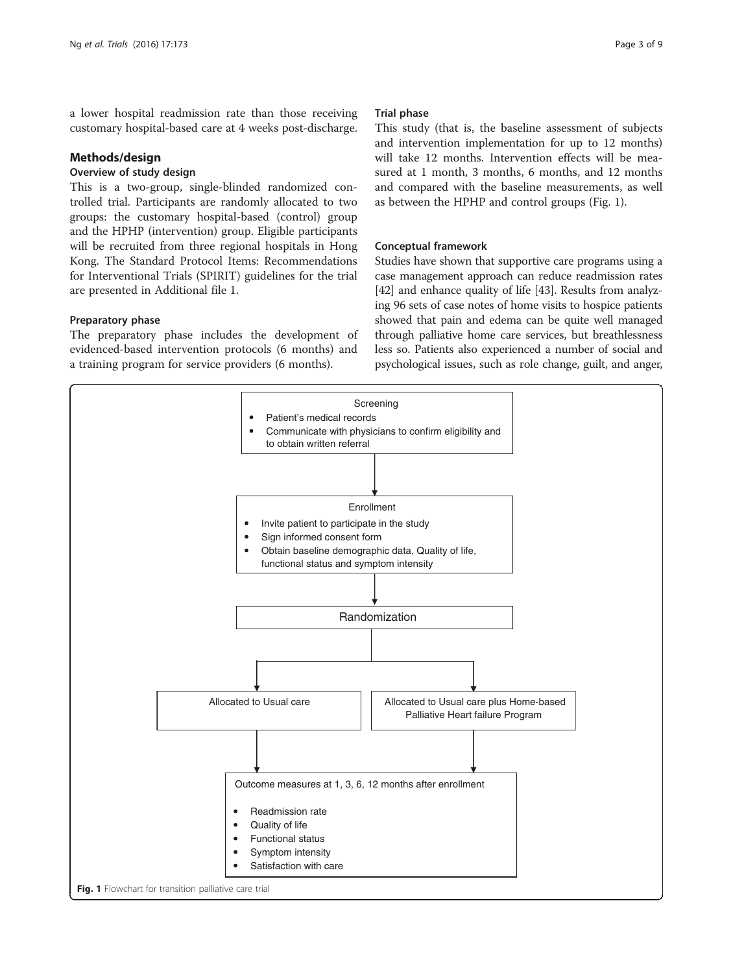a lower hospital readmission rate than those receiving customary hospital-based care at 4 weeks post-discharge.

#### Methods/design

### Overview of study design

This is a two-group, single-blinded randomized controlled trial. Participants are randomly allocated to two groups: the customary hospital-based (control) group and the HPHP (intervention) group. Eligible participants will be recruited from three regional hospitals in Hong Kong. The Standard Protocol Items: Recommendations for Interventional Trials (SPIRIT) guidelines for the trial are presented in Additional file [1.](#page-7-0)

### Preparatory phase

The preparatory phase includes the development of evidenced-based intervention protocols (6 months) and a training program for service providers (6 months).

#### Trial phase

This study (that is, the baseline assessment of subjects and intervention implementation for up to 12 months) will take 12 months. Intervention effects will be measured at 1 month, 3 months, 6 months, and 12 months and compared with the baseline measurements, as well as between the HPHP and control groups (Fig. 1).

#### Conceptual framework

Studies have shown that supportive care programs using a case management approach can reduce readmission rates [[42](#page-8-0)] and enhance quality of life [[43](#page-8-0)]. Results from analyzing 96 sets of case notes of home visits to hospice patients showed that pain and edema can be quite well managed through palliative home care services, but breathlessness less so. Patients also experienced a number of social and psychological issues, such as role change, guilt, and anger,

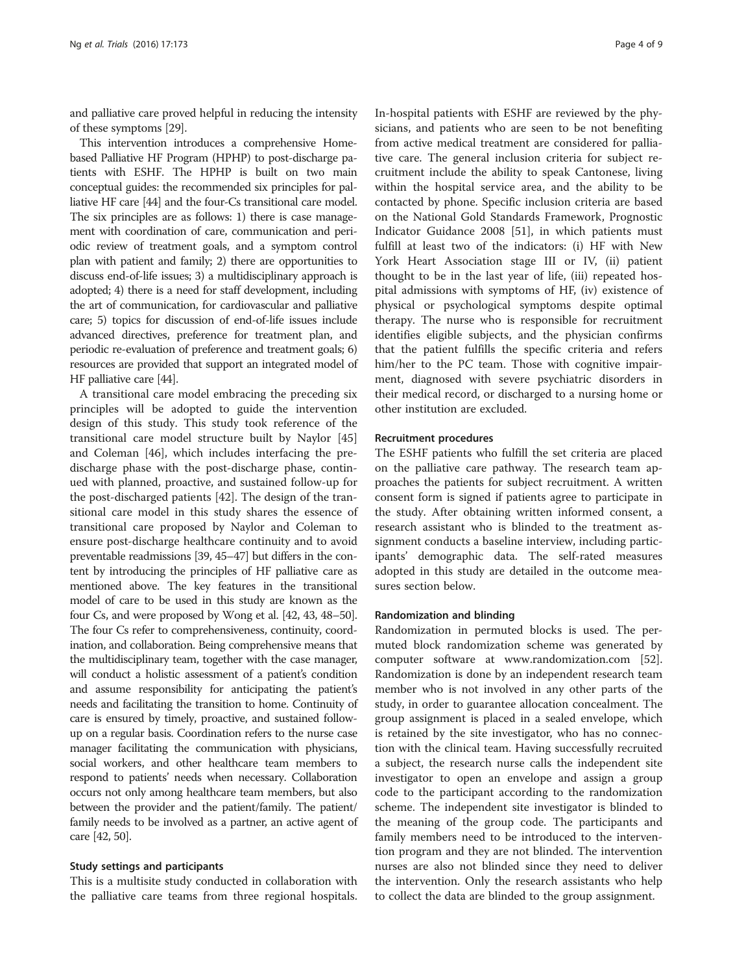and palliative care proved helpful in reducing the intensity of these symptoms [\[29\]](#page-7-0).

This intervention introduces a comprehensive Homebased Palliative HF Program (HPHP) to post-discharge patients with ESHF. The HPHP is built on two main conceptual guides: the recommended six principles for palliative HF care [[44](#page-8-0)] and the four-Cs transitional care model. The six principles are as follows: 1) there is case management with coordination of care, communication and periodic review of treatment goals, and a symptom control plan with patient and family; 2) there are opportunities to discuss end-of-life issues; 3) a multidisciplinary approach is adopted; 4) there is a need for staff development, including the art of communication, for cardiovascular and palliative care; 5) topics for discussion of end-of-life issues include advanced directives, preference for treatment plan, and periodic re-evaluation of preference and treatment goals; 6) resources are provided that support an integrated model of HF palliative care [[44\]](#page-8-0).

A transitional care model embracing the preceding six principles will be adopted to guide the intervention design of this study. This study took reference of the transitional care model structure built by Naylor [[45](#page-8-0)] and Coleman [[46\]](#page-8-0), which includes interfacing the predischarge phase with the post-discharge phase, continued with planned, proactive, and sustained follow-up for the post-discharged patients [[42\]](#page-8-0). The design of the transitional care model in this study shares the essence of transitional care proposed by Naylor and Coleman to ensure post-discharge healthcare continuity and to avoid preventable readmissions [[39](#page-7-0), [45](#page-8-0)–[47](#page-8-0)] but differs in the content by introducing the principles of HF palliative care as mentioned above. The key features in the transitional model of care to be used in this study are known as the four Cs, and were proposed by Wong et al. [\[42, 43, 48](#page-8-0)–[50](#page-8-0)]. The four Cs refer to comprehensiveness, continuity, coordination, and collaboration. Being comprehensive means that the multidisciplinary team, together with the case manager, will conduct a holistic assessment of a patient's condition and assume responsibility for anticipating the patient's needs and facilitating the transition to home. Continuity of care is ensured by timely, proactive, and sustained followup on a regular basis. Coordination refers to the nurse case manager facilitating the communication with physicians, social workers, and other healthcare team members to respond to patients' needs when necessary. Collaboration occurs not only among healthcare team members, but also between the provider and the patient/family. The patient/ family needs to be involved as a partner, an active agent of care [\[42, 50\]](#page-8-0).

#### Study settings and participants

This is a multisite study conducted in collaboration with the palliative care teams from three regional hospitals.

In-hospital patients with ESHF are reviewed by the physicians, and patients who are seen to be not benefiting from active medical treatment are considered for palliative care. The general inclusion criteria for subject recruitment include the ability to speak Cantonese, living within the hospital service area, and the ability to be contacted by phone. Specific inclusion criteria are based on the National Gold Standards Framework, Prognostic Indicator Guidance 2008 [[51](#page-8-0)], in which patients must fulfill at least two of the indicators: (i) HF with New York Heart Association stage III or IV, (ii) patient thought to be in the last year of life, (iii) repeated hospital admissions with symptoms of HF, (iv) existence of physical or psychological symptoms despite optimal therapy. The nurse who is responsible for recruitment identifies eligible subjects, and the physician confirms that the patient fulfills the specific criteria and refers him/her to the PC team. Those with cognitive impairment, diagnosed with severe psychiatric disorders in their medical record, or discharged to a nursing home or other institution are excluded.

#### Recruitment procedures

The ESHF patients who fulfill the set criteria are placed on the palliative care pathway. The research team approaches the patients for subject recruitment. A written consent form is signed if patients agree to participate in the study. After obtaining written informed consent, a research assistant who is blinded to the treatment assignment conducts a baseline interview, including participants' demographic data. The self-rated measures adopted in this study are detailed in the outcome measures section below.

#### Randomization and blinding

Randomization in permuted blocks is used. The permuted block randomization scheme was generated by computer software at [www.randomization.com](http://www.randomization.com/) [\[52](#page-8-0)]. Randomization is done by an independent research team member who is not involved in any other parts of the study, in order to guarantee allocation concealment. The group assignment is placed in a sealed envelope, which is retained by the site investigator, who has no connection with the clinical team. Having successfully recruited a subject, the research nurse calls the independent site investigator to open an envelope and assign a group code to the participant according to the randomization scheme. The independent site investigator is blinded to the meaning of the group code. The participants and family members need to be introduced to the intervention program and they are not blinded. The intervention nurses are also not blinded since they need to deliver the intervention. Only the research assistants who help to collect the data are blinded to the group assignment.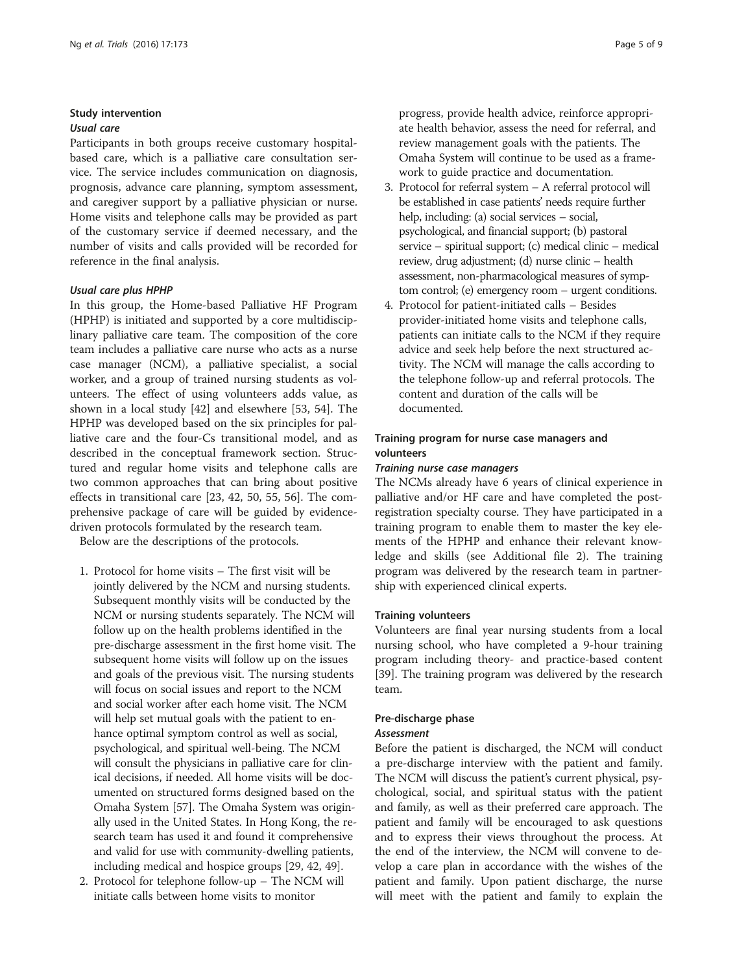## Study intervention

Participants in both groups receive customary hospitalbased care, which is a palliative care consultation service. The service includes communication on diagnosis, prognosis, advance care planning, symptom assessment, and caregiver support by a palliative physician or nurse. Home visits and telephone calls may be provided as part of the customary service if deemed necessary, and the number of visits and calls provided will be recorded for reference in the final analysis.

In this group, the Home-based Palliative HF Program (HPHP) is initiated and supported by a core multidisciplinary palliative care team. The composition of the core team includes a palliative care nurse who acts as a nurse case manager (NCM), a palliative specialist, a social worker, and a group of trained nursing students as volunteers. The effect of using volunteers adds value, as shown in a local study [[42\]](#page-8-0) and elsewhere [[53, 54](#page-8-0)]. The HPHP was developed based on the six principles for palliative care and the four-Cs transitional model, and as described in the conceptual framework section. Structured and regular home visits and telephone calls are two common approaches that can bring about positive effects in transitional care [\[23](#page-7-0), [42](#page-8-0), [50, 55, 56](#page-8-0)]. The comprehensive package of care will be guided by evidencedriven protocols formulated by the research team.

Below are the descriptions of the protocols.

- 1. Protocol for home visits The first visit will be jointly delivered by the NCM and nursing students. Subsequent monthly visits will be conducted by the NCM or nursing students separately. The NCM will follow up on the health problems identified in the pre-discharge assessment in the first home visit. The subsequent home visits will follow up on the issues and goals of the previous visit. The nursing students will focus on social issues and report to the NCM and social worker after each home visit. The NCM will help set mutual goals with the patient to enhance optimal symptom control as well as social, psychological, and spiritual well-being. The NCM will consult the physicians in palliative care for clinical decisions, if needed. All home visits will be documented on structured forms designed based on the Omaha System [\[57](#page-8-0)]. The Omaha System was originally used in the United States. In Hong Kong, the research team has used it and found it comprehensive and valid for use with community-dwelling patients, including medical and hospice groups [[29,](#page-7-0) [42](#page-8-0), [49\]](#page-8-0).
- 2. Protocol for telephone follow-up The NCM will initiate calls between home visits to monitor

progress, provide health advice, reinforce appropriate health behavior, assess the need for referral, and review management goals with the patients. The Omaha System will continue to be used as a framework to guide practice and documentation.

- 3. Protocol for referral system A referral protocol will be established in case patients' needs require further help, including: (a) social services – social, psychological, and financial support; (b) pastoral service – spiritual support; (c) medical clinic – medical review, drug adjustment; (d) nurse clinic – health assessment, non-pharmacological measures of symptom control; (e) emergency room – urgent conditions.
- 4. Protocol for patient-initiated calls Besides provider-initiated home visits and telephone calls, patients can initiate calls to the NCM if they require advice and seek help before the next structured activity. The NCM will manage the calls according to the telephone follow-up and referral protocols. The content and duration of the calls will be documented.

### Training program for nurse case managers and volunteers

The NCMs already have 6 years of clinical experience in palliative and/or HF care and have completed the postregistration specialty course. They have participated in a training program to enable them to master the key elements of the HPHP and enhance their relevant knowledge and skills (see Additional file [2](#page-7-0)). The training program was delivered by the research team in partnership with experienced clinical experts.

#### Training volunteers

Volunteers are final year nursing students from a local nursing school, who have completed a 9-hour training program including theory- and practice-based content [[39\]](#page-7-0). The training program was delivered by the research team.

#### Pre-discharge phase

Before the patient is discharged, the NCM will conduct a pre-discharge interview with the patient and family. The NCM will discuss the patient's current physical, psychological, social, and spiritual status with the patient and family, as well as their preferred care approach. The patient and family will be encouraged to ask questions and to express their views throughout the process. At the end of the interview, the NCM will convene to develop a care plan in accordance with the wishes of the patient and family. Upon patient discharge, the nurse will meet with the patient and family to explain the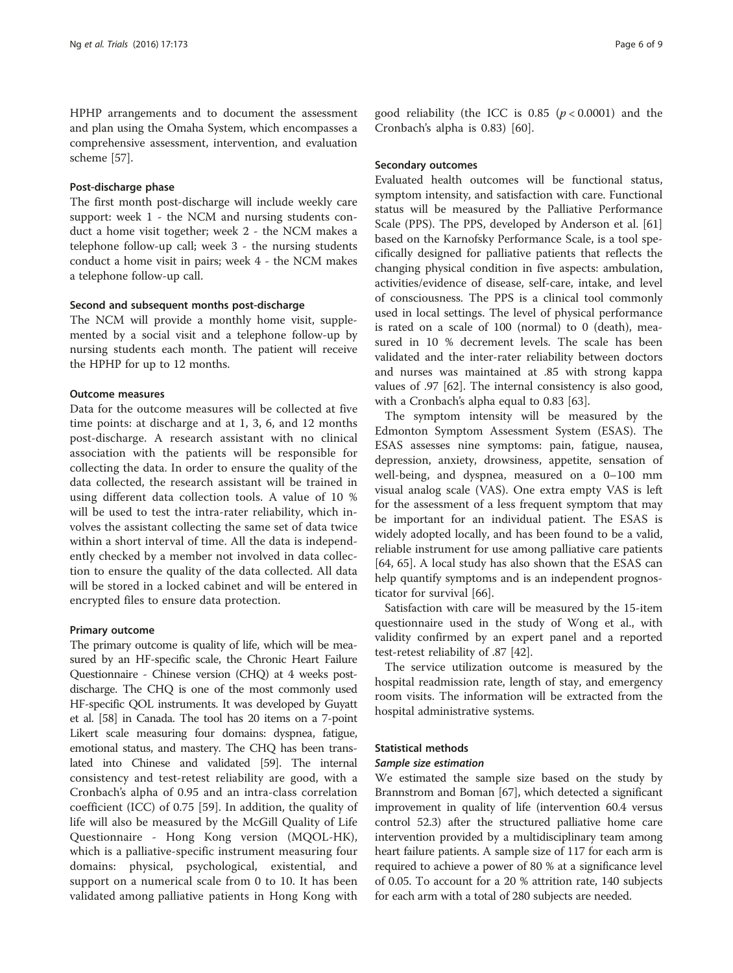HPHP arrangements and to document the assessment and plan using the Omaha System, which encompasses a comprehensive assessment, intervention, and evaluation scheme [\[57](#page-8-0)].

#### Post-discharge phase

The first month post-discharge will include weekly care support: week 1 - the NCM and nursing students conduct a home visit together; week 2 - the NCM makes a telephone follow-up call; week 3 - the nursing students conduct a home visit in pairs; week 4 - the NCM makes a telephone follow-up call.

#### Second and subsequent months post-discharge

The NCM will provide a monthly home visit, supplemented by a social visit and a telephone follow-up by nursing students each month. The patient will receive the HPHP for up to 12 months.

#### Outcome measures

Data for the outcome measures will be collected at five time points: at discharge and at 1, 3, 6, and 12 months post-discharge. A research assistant with no clinical association with the patients will be responsible for collecting the data. In order to ensure the quality of the data collected, the research assistant will be trained in using different data collection tools. A value of 10 % will be used to test the intra-rater reliability, which involves the assistant collecting the same set of data twice within a short interval of time. All the data is independently checked by a member not involved in data collection to ensure the quality of the data collected. All data will be stored in a locked cabinet and will be entered in encrypted files to ensure data protection.

#### Primary outcome

The primary outcome is quality of life, which will be measured by an HF-specific scale, the Chronic Heart Failure Questionnaire - Chinese version (CHQ) at 4 weeks postdischarge. The CHQ is one of the most commonly used HF-specific QOL instruments. It was developed by Guyatt et al. [\[58\]](#page-8-0) in Canada. The tool has 20 items on a 7-point Likert scale measuring four domains: dyspnea, fatigue, emotional status, and mastery. The CHQ has been translated into Chinese and validated [\[59\]](#page-8-0). The internal consistency and test-retest reliability are good, with a Cronbach's alpha of 0.95 and an intra-class correlation coefficient (ICC) of 0.75 [\[59](#page-8-0)]. In addition, the quality of life will also be measured by the McGill Quality of Life Questionnaire - Hong Kong version (MQOL-HK), which is a palliative-specific instrument measuring four domains: physical, psychological, existential, and support on a numerical scale from 0 to 10. It has been validated among palliative patients in Hong Kong with good reliability (the ICC is  $0.85$  ( $p < 0.0001$ ) and the Cronbach's alpha is 0.83) [[60\]](#page-8-0).

#### Secondary outcomes

Evaluated health outcomes will be functional status, symptom intensity, and satisfaction with care. Functional status will be measured by the Palliative Performance Scale (PPS). The PPS, developed by Anderson et al. [[61](#page-8-0)] based on the Karnofsky Performance Scale, is a tool specifically designed for palliative patients that reflects the changing physical condition in five aspects: ambulation, activities/evidence of disease, self-care, intake, and level of consciousness. The PPS is a clinical tool commonly used in local settings. The level of physical performance is rated on a scale of 100 (normal) to 0 (death), measured in 10 % decrement levels. The scale has been validated and the inter-rater reliability between doctors and nurses was maintained at .85 with strong kappa values of .97 [\[62](#page-8-0)]. The internal consistency is also good, with a Cronbach's alpha equal to 0.83 [[63](#page-8-0)].

The symptom intensity will be measured by the Edmonton Symptom Assessment System (ESAS). The ESAS assesses nine symptoms: pain, fatigue, nausea, depression, anxiety, drowsiness, appetite, sensation of well-being, and dyspnea, measured on a 0–100 mm visual analog scale (VAS). One extra empty VAS is left for the assessment of a less frequent symptom that may be important for an individual patient. The ESAS is widely adopted locally, and has been found to be a valid, reliable instrument for use among palliative care patients [[64, 65\]](#page-8-0). A local study has also shown that the ESAS can help quantify symptoms and is an independent prognosticator for survival [\[66](#page-8-0)].

Satisfaction with care will be measured by the 15-item questionnaire used in the study of Wong et al., with validity confirmed by an expert panel and a reported test-retest reliability of .87 [\[42\]](#page-8-0).

The service utilization outcome is measured by the hospital readmission rate, length of stay, and emergency room visits. The information will be extracted from the hospital administrative systems.

#### Statistical methods

We estimated the sample size based on the study by Brannstrom and Boman [\[67\]](#page-8-0), which detected a significant improvement in quality of life (intervention 60.4 versus control 52.3) after the structured palliative home care intervention provided by a multidisciplinary team among heart failure patients. A sample size of 117 for each arm is required to achieve a power of 80 % at a significance level of 0.05. To account for a 20 % attrition rate, 140 subjects for each arm with a total of 280 subjects are needed.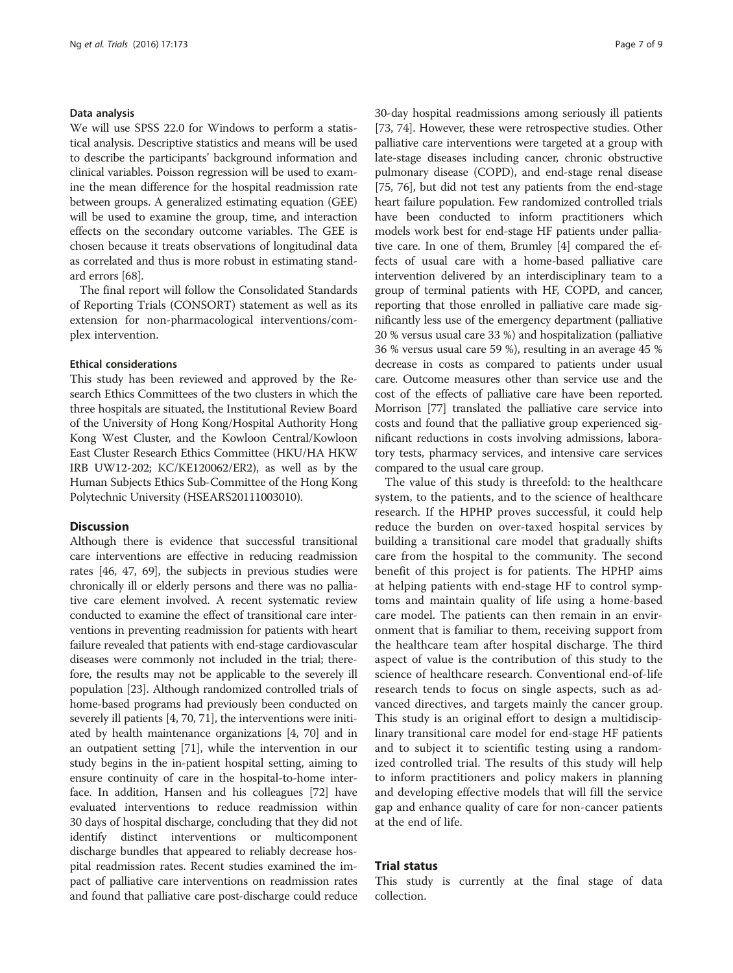#### Data analysis

We will use SPSS 22.0 for Windows to perform a statistical analysis. Descriptive statistics and means will be used to describe the participants' background information and clinical variables. Poisson regression will be used to examine the mean difference for the hospital readmission rate between groups. A generalized estimating equation (GEE) will be used to examine the group, time, and interaction effects on the secondary outcome variables. The GEE is chosen because it treats observations of longitudinal data as correlated and thus is more robust in estimating standard errors [[68\]](#page-8-0).

The final report will follow the Consolidated Standards of Reporting Trials (CONSORT) statement as well as its extension for non-pharmacological interventions/complex intervention.

#### Ethical considerations

This study has been reviewed and approved by the Research Ethics Committees of the two clusters in which the three hospitals are situated, the Institutional Review Board of the University of Hong Kong/Hospital Authority Hong Kong West Cluster, and the Kowloon Central/Kowloon East Cluster Research Ethics Committee (HKU/HA HKW IRB UW12-202; KC/KE120062/ER2), as well as by the Human Subjects Ethics Sub-Committee of the Hong Kong Polytechnic University (HSEARS20111003010).

#### Discussion

Although there is evidence that successful transitional care interventions are effective in reducing readmission rates [\[46, 47](#page-8-0), [69](#page-8-0)], the subjects in previous studies were chronically ill or elderly persons and there was no palliative care element involved. A recent systematic review conducted to examine the effect of transitional care interventions in preventing readmission for patients with heart failure revealed that patients with end-stage cardiovascular diseases were commonly not included in the trial; therefore, the results may not be applicable to the severely ill population [\[23\]](#page-7-0). Although randomized controlled trials of home-based programs had previously been conducted on severely ill patients [\[4,](#page-7-0) [70](#page-8-0), [71](#page-8-0)], the interventions were initiated by health maintenance organizations [[4,](#page-7-0) [70\]](#page-8-0) and in an outpatient setting [[71\]](#page-8-0), while the intervention in our study begins in the in-patient hospital setting, aiming to ensure continuity of care in the hospital-to-home interface. In addition, Hansen and his colleagues [\[72](#page-8-0)] have evaluated interventions to reduce readmission within 30 days of hospital discharge, concluding that they did not identify distinct interventions or multicomponent discharge bundles that appeared to reliably decrease hospital readmission rates. Recent studies examined the impact of palliative care interventions on readmission rates and found that palliative care post-discharge could reduce 30-day hospital readmissions among seriously ill patients [[73](#page-8-0), [74](#page-8-0)]. However, these were retrospective studies. Other palliative care interventions were targeted at a group with late-stage diseases including cancer, chronic obstructive pulmonary disease (COPD), and end-stage renal disease [[75](#page-8-0), [76\]](#page-8-0), but did not test any patients from the end-stage heart failure population. Few randomized controlled trials have been conducted to inform practitioners which models work best for end-stage HF patients under palliative care. In one of them, Brumley [[4\]](#page-7-0) compared the effects of usual care with a home-based palliative care intervention delivered by an interdisciplinary team to a group of terminal patients with HF, COPD, and cancer, reporting that those enrolled in palliative care made significantly less use of the emergency department (palliative 20 % versus usual care 33 %) and hospitalization (palliative 36 % versus usual care 59 %), resulting in an average 45 % decrease in costs as compared to patients under usual care. Outcome measures other than service use and the cost of the effects of palliative care have been reported. Morrison [\[77\]](#page-8-0) translated the palliative care service into costs and found that the palliative group experienced significant reductions in costs involving admissions, laboratory tests, pharmacy services, and intensive care services compared to the usual care group.

The value of this study is threefold: to the healthcare system, to the patients, and to the science of healthcare research. If the HPHP proves successful, it could help reduce the burden on over-taxed hospital services by building a transitional care model that gradually shifts care from the hospital to the community. The second benefit of this project is for patients. The HPHP aims at helping patients with end-stage HF to control symptoms and maintain quality of life using a home-based care model. The patients can then remain in an environment that is familiar to them, receiving support from the healthcare team after hospital discharge. The third aspect of value is the contribution of this study to the science of healthcare research. Conventional end-of-life research tends to focus on single aspects, such as advanced directives, and targets mainly the cancer group. This study is an original effort to design a multidisciplinary transitional care model for end-stage HF patients and to subject it to scientific testing using a randomized controlled trial. The results of this study will help to inform practitioners and policy makers in planning and developing effective models that will fill the service gap and enhance quality of care for non-cancer patients at the end of life.

### Trial status

This study is currently at the final stage of data collection.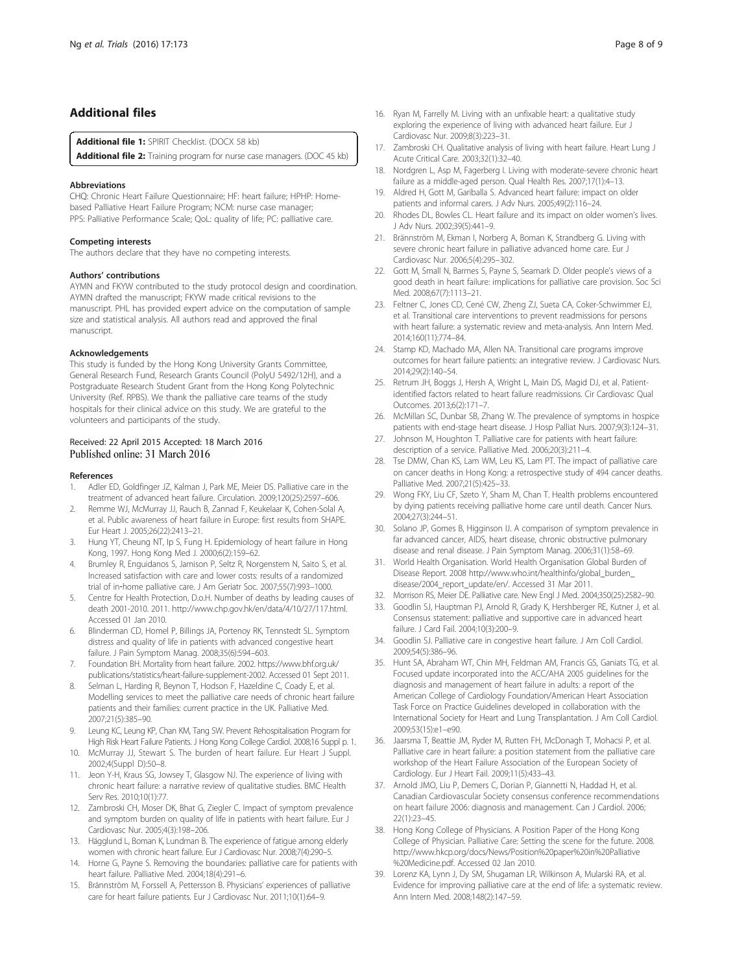### <span id="page-7-0"></span>Additional files

[Additional file 1:](dx.doi.org/10.1186/s13063-016-1303-7) SPIRIT Checklist. (DOCX 58 kb) [Additional file 2:](dx.doi.org/10.1186/s13063-016-1303-7) Training program for nurse case managers. (DOC 45 kb)

#### Abbreviations

CHQ: Chronic Heart Failure Questionnaire; HF: heart failure; HPHP: Homebased Palliative Heart Failure Program; NCM: nurse case manager; PPS: Palliative Performance Scale; QoL: quality of life; PC: palliative care.

#### Competing interests

The authors declare that they have no competing interests.

#### Authors' contributions

AYMN and FKYW contributed to the study protocol design and coordination. AYMN drafted the manuscript; FKYW made critical revisions to the manuscript. PHL has provided expert advice on the computation of sample size and statistical analysis. All authors read and approved the final manuscript.

#### Acknowledgements

This study is funded by the Hong Kong University Grants Committee, General Research Fund, Research Grants Council (PolyU 5492/12H), and a Postgraduate Research Student Grant from the Hong Kong Polytechnic University (Ref. RPBS). We thank the palliative care teams of the study hospitals for their clinical advice on this study. We are grateful to the volunteers and participants of the study.

#### Received: 22 April 2015 Accepted: 18 March 2016 Published online: 31 March 2016

#### References

- 1. Adler ED, Goldfinger JZ, Kalman J, Park ME, Meier DS. Palliative care in the treatment of advanced heart failure. Circulation. 2009;120(25):2597–606.
- 2. Remme WJ, McMurray JJ, Rauch B, Zannad F, Keukelaar K, Cohen-Solal A, et al. Public awareness of heart failure in Europe: first results from SHAPE. Eur Heart J. 2005;26(22):2413–21.
- 3. Hung YT, Cheung NT, Ip S, Fung H. Epidemiology of heart failure in Hong Kong, 1997. Hong Kong Med J. 2000;6(2):159–62.
- Brumley R, Enguidanos S, Jamison P, Seltz R, Norgenstem N, Saito S, et al. Increased satisfaction with care and lower costs: results of a randomized trial of in‐home palliative care. J Am Geriatr Soc. 2007;55(7):993–1000.
- 5. Centre for Health Protection, D.o.H. Number of deaths by leading causes of death 2001-2010. 2011.<http://www.chp.gov.hk/en/data/4/10/27/117.html>. Accessed 01 Jan 2010.
- 6. Blinderman CD, Homel P, Billings JA, Portenoy RK, Tennstedt SL. Symptom distress and quality of life in patients with advanced congestive heart failure. J Pain Symptom Manag. 2008;35(6):594–603.
- 7. Foundation BH. Mortality from heart failure. 2002. [https://www.bhf.org.uk/](https://www.bhf.org.uk/publications/statistics/heart-failure-supplement-2002) [publications/statistics/heart-failure-supplement-2002.](https://www.bhf.org.uk/publications/statistics/heart-failure-supplement-2002) Accessed 01 Sept 2011.
- 8. Selman L, Harding R, Beynon T, Hodson F, Hazeldine C, Coady E, et al. Modelling services to meet the palliative care needs of chronic heart failure patients and their families: current practice in the UK. Palliative Med. 2007;21(5):385–90.
- 9. Leung KC, Leung KP, Chan KM, Tang SW. Prevent Rehospitalisation Program for High Risk Heart Failure Patients. J Hong Kong College Cardiol. 2008;16 Suppl p. 1.
- 10. McMurray JJ, Stewart S. The burden of heart failure. Eur Heart J Suppl. 2002;4(Suppl D):50–8.
- 11. Jeon Y-H, Kraus SG, Jowsey T, Glasgow NJ. The experience of living with chronic heart failure: a narrative review of qualitative studies. BMC Health Serv Res. 2010;10(1):77.
- 12. Zambroski CH, Moser DK, Bhat G, Ziegler C. Impact of symptom prevalence and symptom burden on quality of life in patients with heart failure. Eur J Cardiovasc Nur. 2005;4(3):198–206.
- 13. Hägglund L, Boman K, Lundman B. The experience of fatigue among elderly women with chronic heart failure. Eur J Cardiovasc Nur. 2008;7(4):290–5.
- 14. Horne G, Payne S. Removing the boundaries: palliative care for patients with heart failure. Palliative Med. 2004;18(4):291–6.
- 15. Brännström M, Forssell A, Pettersson B. Physicians' experiences of palliative care for heart failure patients. Eur J Cardiovasc Nur. 2011;10(1):64–9.
- 16. Ryan M, Farrelly M. Living with an unfixable heart: a qualitative study exploring the experience of living with advanced heart failure. Eur J Cardiovasc Nur. 2009;8(3):223–31.
- 17. Zambroski CH. Qualitative analysis of living with heart failure. Heart Lung J Acute Critical Care. 2003;32(1):32–40.
- 18. Nordgren L, Asp M, Fagerberg I. Living with moderate-severe chronic heart failure as a middle-aged person. Qual Health Res. 2007;17(1):4–13.
- 19. Aldred H, Gott M, Gariballa S. Advanced heart failure: impact on older patients and informal carers. J Adv Nurs. 2005;49(2):116–24.
- 20. Rhodes DL, Bowles CL. Heart failure and its impact on older women's lives. J Adv Nurs. 2002;39(5):441–9.
- 21. Brännström M, Ekman I, Norberg A, Boman K, Strandberg G. Living with severe chronic heart failure in palliative advanced home care. Eur J Cardiovasc Nur. 2006;5(4):295–302.
- 22. Gott M, Small N, Barmes S, Payne S, Seamark D. Older people's views of a good death in heart failure: implications for palliative care provision. Soc Sci Med. 2008;67(7):1113–21.
- 23. Feltner C, Jones CD, Cené CW, Zheng ZJ, Sueta CA, Coker-Schwimmer EJ, et al. Transitional care interventions to prevent readmissions for persons with heart failure: a systematic review and meta-analysis. Ann Intern Med. 2014;160(11):774–84.
- 24. Stamp KD, Machado MA, Allen NA. Transitional care programs improve outcomes for heart failure patients: an integrative review. J Cardiovasc Nurs. 2014;29(2):140–54.
- 25. Retrum JH, Boggs J, Hersh A, Wright L, Main DS, Magid DJ, et al. Patientidentified factors related to heart failure readmissions. Cir Cardiovasc Qual Outcomes. 2013;6(2):171–7.
- 26. McMillan SC, Dunbar SB, Zhang W. The prevalence of symptoms in hospice patients with end-stage heart disease. J Hosp Palliat Nurs. 2007;9(3):124–31.
- 27. Johnson M, Houghton T. Palliative care for patients with heart failure: description of a service. Palliative Med. 2006;20(3):211–4.
- 28. Tse DMW, Chan KS, Lam WM, Leu KS, Lam PT. The impact of palliative care on cancer deaths in Hong Kong: a retrospective study of 494 cancer deaths. Palliative Med. 2007;21(5):425–33.
- 29. Wong FKY, Liu CF, Szeto Y, Sham M, Chan T. Health problems encountered by dying patients receiving palliative home care until death. Cancer Nurs. 2004;27(3):244–51.
- 30. Solano JP, Gomes B, Higginson IJ. A comparison of symptom prevalence in far advanced cancer, AIDS, heart disease, chronic obstructive pulmonary disease and renal disease. J Pain Symptom Manag. 2006;31(1):58–69.
- 31. World Health Organisation. World Health Organisation Global Burden of Disease Report. 2008 [http://www.who.int/healthinfo/global\\_burden\\_](http://www.who.int/healthinfo/global_burden_disease/2004_report_update/en/) [disease/2004\\_report\\_update/en/](http://www.who.int/healthinfo/global_burden_disease/2004_report_update/en/). Accessed 31 Mar 2011.
- 32. Morrison RS, Meier DE. Palliative care. New Engl J Med. 2004;350(25):2582–90.
- 33. Goodlin SJ, Hauptman PJ, Arnold R, Grady K, Hershberger RE, Kutner J, et al. Consensus statement: palliative and supportive care in advanced heart failure. J Card Fail. 2004;10(3):200–9.
- 34. Goodlin SJ. Palliative care in congestive heart failure. J Am Coll Cardiol. 2009;54(5):386–96.
- 35. Hunt SA, Abraham WT, Chin MH, Feldman AM, Francis GS, Ganiats TG, et al. Focused update incorporated into the ACC/AHA 2005 guidelines for the diagnosis and management of heart failure in adults: a report of the American College of Cardiology Foundation/American Heart Association Task Force on Practice Guidelines developed in collaboration with the International Society for Heart and Lung Transplantation. J Am Coll Cardiol. 2009;53(15):e1–e90.
- 36. Jaarsma T, Beattie JM, Ryder M, Rutten FH, McDonagh T, Mohacsi P, et al. Palliative care in heart failure: a position statement from the palliative care workshop of the Heart Failure Association of the European Society of Cardiology. Eur J Heart Fail. 2009;11(5):433–43.
- 37. Arnold JMO, Liu P, Demers C, Dorian P, Giannetti N, Haddad H, et al. Canadian Cardiovascular Society consensus conference recommendations on heart failure 2006: diagnosis and management. Can J Cardiol. 2006; 22(1):23–45.
- 38. Hong Kong College of Physicians. A Position Paper of the Hong Kong College of Physician. Palliative Care: Setting the scene for the future. 2008. [http://www.hkcp.org/docs/News/Position%20paper%20in%20Palliative](http://www.hkcp.org/docs/News/Position%20paper%20in%20Palliative%20Medicine.pdf) [%20Medicine.pdf.](http://www.hkcp.org/docs/News/Position%20paper%20in%20Palliative%20Medicine.pdf) Accessed 02 Jan 2010.
- 39. Lorenz KA, Lynn J, Dy SM, Shugaman LR, Wilkinson A, Mularski RA, et al. Evidence for improving palliative care at the end of life: a systematic review. Ann Intern Med. 2008;148(2):147–59.